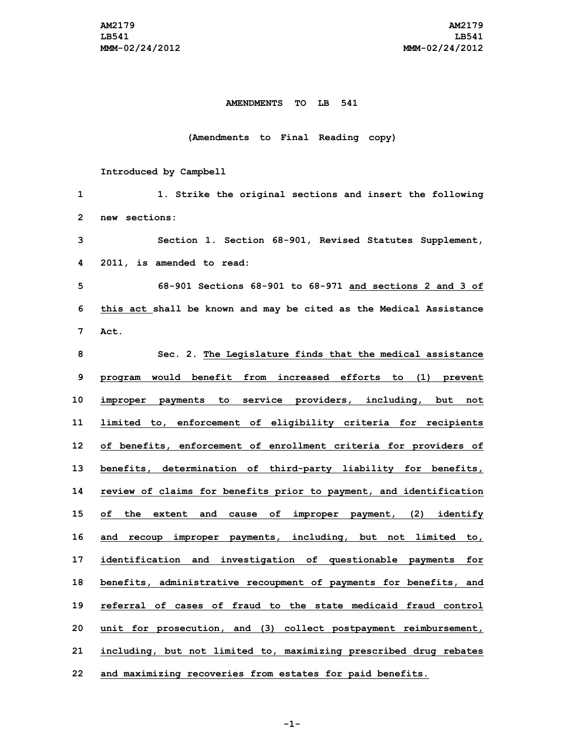## **AMENDMENTS TO LB 541**

## **(Amendments to Final Reading copy)**

## **Introduced by Campbell**

| 1            | 1. Strike the original sections and insert the following           |
|--------------|--------------------------------------------------------------------|
| $\mathbf{2}$ | new sections:                                                      |
| 3            | Section 1. Section 68-901, Revised Statutes Supplement,            |
| 4            | 2011, is amended to read:                                          |
| 5            | 68-901 Sections 68-901 to 68-971 and sections 2 and 3 of           |
| 6            | this act shall be known and may be cited as the Medical Assistance |
| 7            | Act.                                                               |
| 8            | Sec. 2. The Legislature finds that the medical assistance          |
| 9            | program would benefit from increased efforts to (1) prevent        |
| 10           | improper payments to service providers, including, but not         |
| 11           | limited to, enforcement of eligibility criteria for recipients     |
| 12           | of benefits, enforcement of enrollment criteria for providers of   |
| 13           | benefits, determination of third-party liability for benefits,     |
| 14           | review of claims for benefits prior to payment, and identification |
| 15           | of the extent and cause of improper payment, (2) identify          |
| 16           | and recoup improper payments, including, but not limited to,       |
| 17           | identification and investigation of questionable payments for      |
| 18           | benefits, administrative recoupment of payments for benefits, and  |
| 19           | referral of cases of fraud to the state medicaid fraud control     |
| 20           | unit for prosecution, and (3) collect postpayment reimbursement,   |
| 21           | including, but not limited to, maximizing prescribed drug rebates  |
| 22           | and maximizing recoveries from estates for paid benefits.          |

**-1-**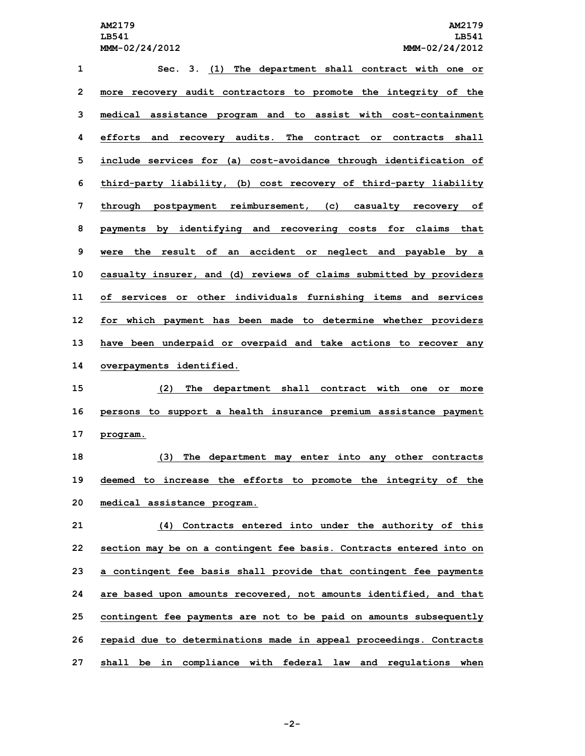**Sec. 3. (1) The department shall contract with one or more recovery audit contractors to promote the integrity of the medical assistance program and to assist with cost-containment efforts and recovery audits. The contract or contracts shall include services for (a) cost-avoidance through identification of third-party liability, (b) cost recovery of third-party liability through postpayment reimbursement, (c) casualty recovery of payments by identifying and recovering costs for claims that were the result of an accident or neglect and payable by <sup>a</sup> casualty insurer, and (d) reviews of claims submitted by providers of services or other individuals furnishing items and services for which payment has been made to determine whether providers have been underpaid or overpaid and take actions to recover any overpayments identified. (2) The department shall contract with one or more persons to support <sup>a</sup> health insurance premium assistance payment 17 program. (3) The department may enter into any other contracts deemed to increase the efforts to promote the integrity of the medical assistance program. (4) Contracts entered into under the authority of this section may be on <sup>a</sup> contingent fee basis. Contracts entered into on <sup>a</sup> contingent fee basis shall provide that contingent fee payments are based upon amounts recovered, not amounts identified, and that contingent fee payments are not to be paid on amounts subsequently repaid due to determinations made in appeal proceedings. Contracts shall be in compliance with federal law and regulations when**

**-2-**